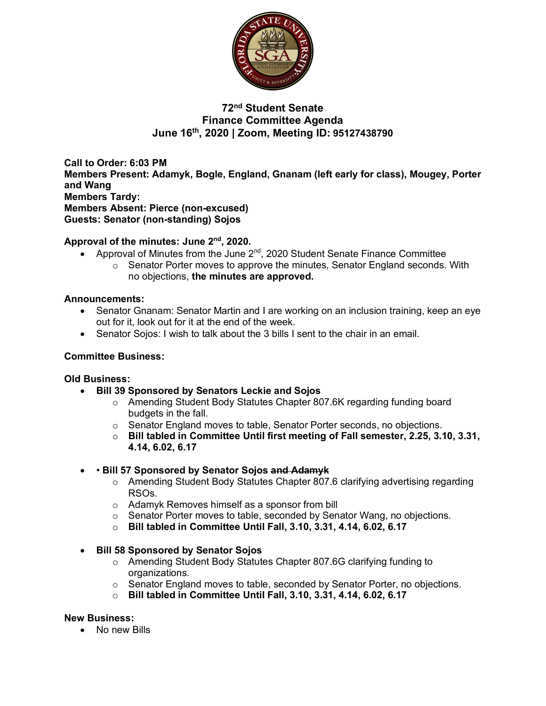

# **72nd Student Senate Finance Committee Agenda June 16th, 2020 | Zoom, Meeting ID: 95127438790**

**Call to Order: 6:03 PM Members Present: Adamyk, Bogle, England, Gnanam (left early for class), Mougey, Porter and Wang Members Tardy: Members Absent: Pierce (non-excused) Guests: Senator (non-standing) Sojos**

## **Approval of the minutes: June 2nd, 2020.**

- Approval of Minutes from the June 2<sup>nd</sup>, 2020 Student Senate Finance Committee
	- o Senator Porter moves to approve the minutes, Senator England seconds. With no objections, **the minutes are approved.**

### **Announcements:**

- Senator Gnanam: Senator Martin and I are working on an inclusion training, keep an eye out for it, look out for it at the end of the week.
- Senator Sojos: I wish to talk about the 3 bills I sent to the chair in an email.

### **Committee Business:**

### **Old Business:**

- **Bill 39 Sponsored by Senators Leckie and Sojos**
	- o Amending Student Body Statutes Chapter 807.6K regarding funding board budgets in the fall.
	- o Senator England moves to table, Senator Porter seconds, no objections.
	- o **Bill tabled in Committee Until first meeting of Fall semester, 2.25, 3.10, 3.31, 4.14, 6.02, 6.17**

### • • **Bill 57 Sponsored by Senator Sojos and Adamyk**

- o Amending Student Body Statutes Chapter 807.6 clarifying advertising regarding RSOs.
- o Adamyk Removes himself as a sponsor from bill
- o Senator Porter moves to table, seconded by Senator Wang, no objections.
- o **Bill tabled in Committee Until Fall, 3.10, 3.31, 4.14, 6.02, 6.17**
- **Bill 58 Sponsored by Senator Sojos**
	- o Amending Student Body Statutes Chapter 807.6G clarifying funding to organizations.
	- o Senator England moves to table, seconded by Senator Porter, no objections.
	- o **Bill tabled in Committee Until Fall, 3.10, 3.31, 4.14, 6.02, 6.17**

### **New Business:**

• No new Bills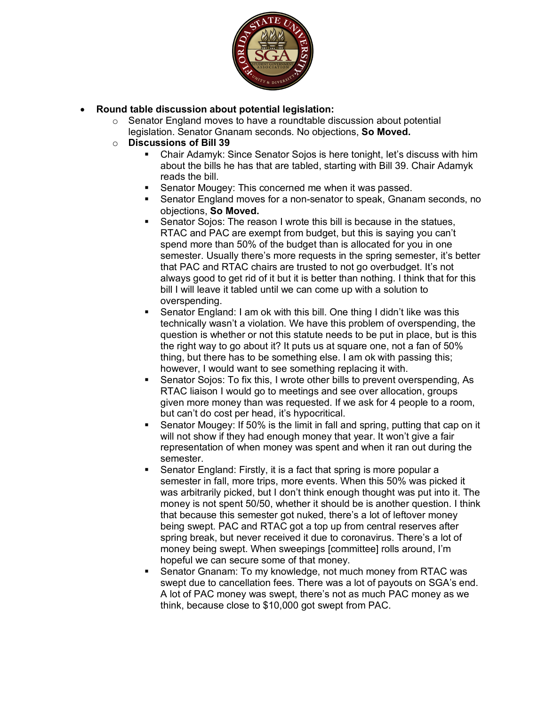

- **Round table discussion about potential legislation:**
	- $\circ$  Senator England moves to have a roundtable discussion about potential legislation. Senator Gnanam seconds. No objections, **So Moved.**
	- o **Discussions of Bill 39**
		- § Chair Adamyk: Since Senator Sojos is here tonight, let's discuss with him about the bills he has that are tabled, starting with Bill 39. Chair Adamyk reads the bill.
		- Senator Mougey: This concerned me when it was passed.
		- § Senator England moves for a non-senator to speak, Gnanam seconds, no objections, **So Moved.**
		- Senator Sojos: The reason I wrote this bill is because in the statues, RTAC and PAC are exempt from budget, but this is saying you can't spend more than 50% of the budget than is allocated for you in one semester. Usually there's more requests in the spring semester, it's better that PAC and RTAC chairs are trusted to not go overbudget. It's not always good to get rid of it but it is better than nothing. I think that for this bill I will leave it tabled until we can come up with a solution to overspending.
		- § Senator England: I am ok with this bill. One thing I didn't like was this technically wasn't a violation. We have this problem of overspending, the question is whether or not this statute needs to be put in place, but is this the right way to go about it? It puts us at square one, not a fan of 50% thing, but there has to be something else. I am ok with passing this; however, I would want to see something replacing it with.
		- § Senator Sojos: To fix this, I wrote other bills to prevent overspending, As RTAC liaison I would go to meetings and see over allocation, groups given more money than was requested. If we ask for 4 people to a room, but can't do cost per head, it's hypocritical.
		- § Senator Mougey: If 50% is the limit in fall and spring, putting that cap on it will not show if they had enough money that year. It won't give a fair representation of when money was spent and when it ran out during the semester.
		- Senator England: Firstly, it is a fact that spring is more popular a semester in fall, more trips, more events. When this 50% was picked it was arbitrarily picked, but I don't think enough thought was put into it. The money is not spent 50/50, whether it should be is another question. I think that because this semester got nuked, there's a lot of leftover money being swept. PAC and RTAC got a top up from central reserves after spring break, but never received it due to coronavirus. There's a lot of money being swept. When sweepings [committee] rolls around, I'm hopeful we can secure some of that money.
		- § Senator Gnanam: To my knowledge, not much money from RTAC was swept due to cancellation fees. There was a lot of payouts on SGA's end. A lot of PAC money was swept, there's not as much PAC money as we think, because close to \$10,000 got swept from PAC.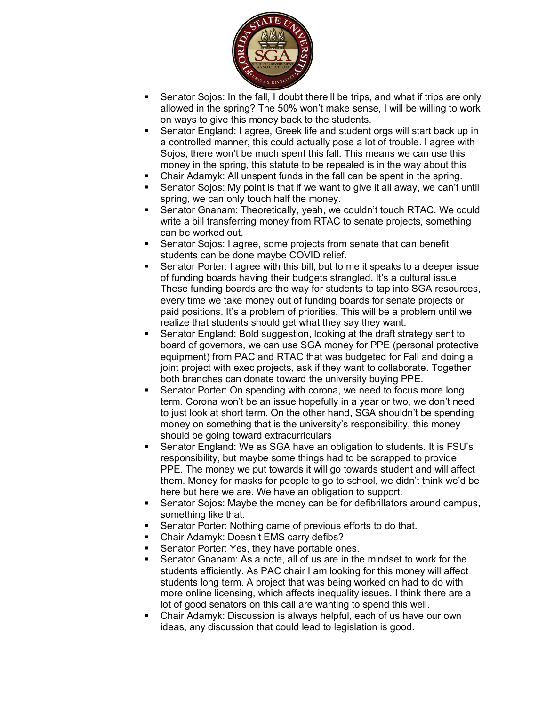

- Senator Sojos: In the fall, I doubt there'll be trips, and what if trips are only allowed in the spring? The 50% won't make sense, I will be willing to work on ways to give this money back to the students.
- § Senator England: I agree, Greek life and student orgs will start back up in a controlled manner, this could actually pose a lot of trouble. I agree with Sojos, there won't be much spent this fall. This means we can use this money in the spring, this statute to be repealed is in the way about this
- Chair Adamyk: All unspent funds in the fall can be spent in the spring.
- Senator Sojos: My point is that if we want to give it all away, we can't until spring, we can only touch half the money.
- § Senator Gnanam: Theoretically, yeah, we couldn't touch RTAC. We could write a bill transferring money from RTAC to senate projects, something can be worked out.
- Senator Sojos: I agree, some projects from senate that can benefit students can be done maybe COVID relief.
- § Senator Porter: I agree with this bill, but to me it speaks to a deeper issue of funding boards having their budgets strangled. It's a cultural issue. These funding boards are the way for students to tap into SGA resources, every time we take money out of funding boards for senate projects or paid positions. It's a problem of priorities. This will be a problem until we realize that students should get what they say they want.
- § Senator England: Bold suggestion, looking at the draft strategy sent to board of governors, we can use SGA money for PPE (personal protective equipment) from PAC and RTAC that was budgeted for Fall and doing a joint project with exec projects, ask if they want to collaborate. Together both branches can donate toward the university buying PPE.
- Senator Porter: On spending with corona, we need to focus more long term. Corona won't be an issue hopefully in a year or two, we don't need to just look at short term. On the other hand, SGA shouldn't be spending money on something that is the university's responsibility, this money should be going toward extracurriculars
- § Senator England: We as SGA have an obligation to students. It is FSU's responsibility, but maybe some things had to be scrapped to provide PPE. The money we put towards it will go towards student and will affect them. Money for masks for people to go to school, we didn't think we'd be here but here we are. We have an obligation to support.
- Senator Sojos: Maybe the money can be for defibrillators around campus, something like that.
- Senator Porter: Nothing came of previous efforts to do that.
- § Chair Adamyk: Doesn't EMS carry defibs?
- Senator Porter: Yes, they have portable ones.
- Senator Gnanam: As a note, all of us are in the mindset to work for the students efficiently. As PAC chair I am looking for this money will affect students long term. A project that was being worked on had to do with more online licensing, which affects inequality issues. I think there are a lot of good senators on this call are wanting to spend this well.
- § Chair Adamyk: Discussion is always helpful, each of us have our own ideas, any discussion that could lead to legislation is good.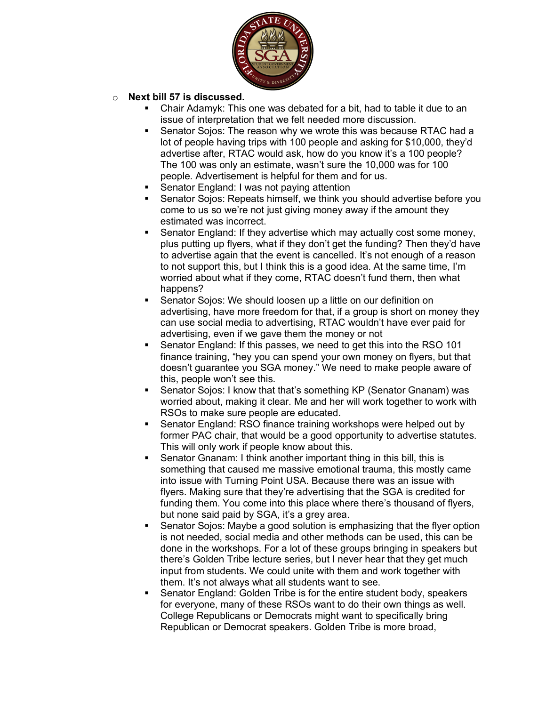

## o **Next bill 57 is discussed.**

- Chair Adamyk: This one was debated for a bit, had to table it due to an issue of interpretation that we felt needed more discussion.
- Senator Sojos: The reason why we wrote this was because RTAC had a lot of people having trips with 100 people and asking for \$10,000, they'd advertise after, RTAC would ask, how do you know it's a 100 people? The 100 was only an estimate, wasn't sure the 10,000 was for 100 people. Advertisement is helpful for them and for us.
- § Senator England: I was not paying attention
- Senator Sojos: Repeats himself, we think you should advertise before you come to us so we're not just giving money away if the amount they estimated was incorrect.
- § Senator England: If they advertise which may actually cost some money, plus putting up flyers, what if they don't get the funding? Then they'd have to advertise again that the event is cancelled. It's not enough of a reason to not support this, but I think this is a good idea. At the same time, I'm worried about what if they come, RTAC doesn't fund them, then what happens?
- § Senator Sojos: We should loosen up a little on our definition on advertising, have more freedom for that, if a group is short on money they can use social media to advertising, RTAC wouldn't have ever paid for advertising, even if we gave them the money or not
- § Senator England: If this passes, we need to get this into the RSO 101 finance training, "hey you can spend your own money on flyers, but that doesn't guarantee you SGA money." We need to make people aware of this, people won't see this.
- Senator Sojos: I know that that's something KP (Senator Gnanam) was worried about, making it clear. Me and her will work together to work with RSOs to make sure people are educated.
- Senator England: RSO finance training workshops were helped out by former PAC chair, that would be a good opportunity to advertise statutes. This will only work if people know about this.
- § Senator Gnanam: I think another important thing in this bill, this is something that caused me massive emotional trauma, this mostly came into issue with Turning Point USA. Because there was an issue with flyers. Making sure that they're advertising that the SGA is credited for funding them. You come into this place where there's thousand of flyers, but none said paid by SGA, it's a grey area.
- § Senator Sojos: Maybe a good solution is emphasizing that the flyer option is not needed, social media and other methods can be used, this can be done in the workshops. For a lot of these groups bringing in speakers but there's Golden Tribe lecture series, but I never hear that they get much input from students. We could unite with them and work together with them. It's not always what all students want to see.
- § Senator England: Golden Tribe is for the entire student body, speakers for everyone, many of these RSOs want to do their own things as well. College Republicans or Democrats might want to specifically bring Republican or Democrat speakers. Golden Tribe is more broad,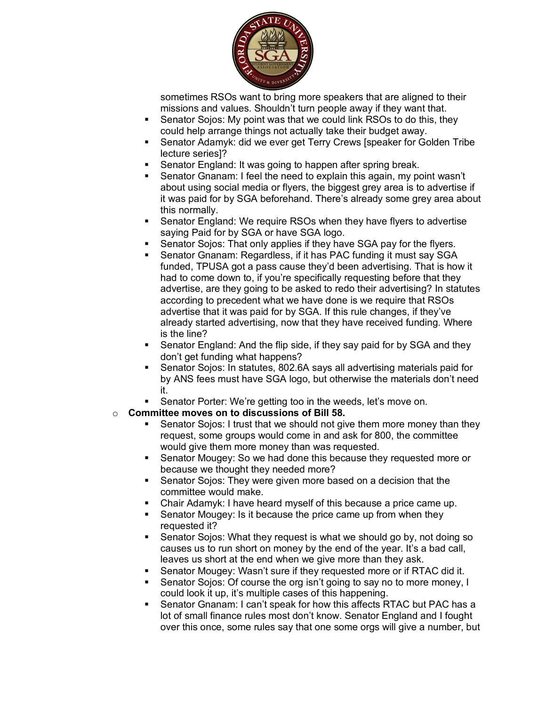

sometimes RSOs want to bring more speakers that are aligned to their missions and values. Shouldn't turn people away if they want that.

- Senator Sojos: My point was that we could link RSOs to do this, they could help arrange things not actually take their budget away.
- § Senator Adamyk: did we ever get Terry Crews [speaker for Golden Tribe lecture series]?
- Senator England: It was going to happen after spring break.
- Senator Gnanam: I feel the need to explain this again, my point wasn't about using social media or flyers, the biggest grey area is to advertise if it was paid for by SGA beforehand. There's already some grey area about this normally.
- Senator England: We require RSOs when they have flyers to advertise saying Paid for by SGA or have SGA logo.
- Senator Sojos: That only applies if they have SGA pay for the flyers.
- Senator Gnanam: Regardless, if it has PAC funding it must say SGA funded, TPUSA got a pass cause they'd been advertising. That is how it had to come down to, if you're specifically requesting before that they advertise, are they going to be asked to redo their advertising? In statutes according to precedent what we have done is we require that RSOs advertise that it was paid for by SGA. If this rule changes, if they've already started advertising, now that they have received funding. Where is the line?
- Senator England: And the flip side, if they say paid for by SGA and they don't get funding what happens?
- Senator Sojos: In statutes, 802.6A says all advertising materials paid for by ANS fees must have SGA logo, but otherwise the materials don't need it.
- Senator Porter: We're getting too in the weeds, let's move on.
- o **Committee moves on to discussions of Bill 58.**
	- Senator Sojos: I trust that we should not give them more money than they request, some groups would come in and ask for 800, the committee would give them more money than was requested.
	- Senator Mougey: So we had done this because they requested more or because we thought they needed more?
	- Senator Sojos: They were given more based on a decision that the committee would make.
	- Chair Adamyk: I have heard myself of this because a price came up.
	- Senator Mougey: Is it because the price came up from when they requested it?
	- § Senator Sojos: What they request is what we should go by, not doing so causes us to run short on money by the end of the year. It's a bad call, leaves us short at the end when we give more than they ask.
	- Senator Mougey: Wasn't sure if they requested more or if RTAC did it.
	- Senator Sojos: Of course the org isn't going to say no to more money, I could look it up, it's multiple cases of this happening.
	- § Senator Gnanam: I can't speak for how this affects RTAC but PAC has a lot of small finance rules most don't know. Senator England and I fought over this once, some rules say that one some orgs will give a number, but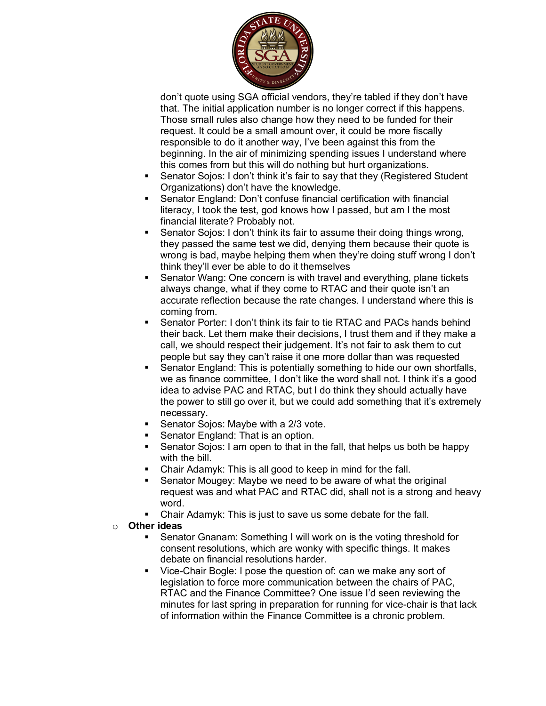

don't quote using SGA official vendors, they're tabled if they don't have that. The initial application number is no longer correct if this happens. Those small rules also change how they need to be funded for their request. It could be a small amount over, it could be more fiscally responsible to do it another way, I've been against this from the beginning. In the air of minimizing spending issues I understand where this comes from but this will do nothing but hurt organizations.

- Senator Sojos: I don't think it's fair to say that they (Registered Student Organizations) don't have the knowledge.
- Senator England: Don't confuse financial certification with financial literacy, I took the test, god knows how I passed, but am I the most financial literate? Probably not.
- Senator Sojos: I don't think its fair to assume their doing things wrong. they passed the same test we did, denying them because their quote is wrong is bad, maybe helping them when they're doing stuff wrong I don't think they'll ever be able to do it themselves
- Senator Wang: One concern is with travel and everything, plane tickets always change, what if they come to RTAC and their quote isn't an accurate reflection because the rate changes. I understand where this is coming from.
- § Senator Porter: I don't think its fair to tie RTAC and PACs hands behind their back. Let them make their decisions, I trust them and if they make a call, we should respect their judgement. It's not fair to ask them to cut people but say they can't raise it one more dollar than was requested
- Senator England: This is potentially something to hide our own shortfalls, we as finance committee, I don't like the word shall not. I think it's a good idea to advise PAC and RTAC, but I do think they should actually have the power to still go over it, but we could add something that it's extremely necessary.
- § Senator Sojos: Maybe with a 2/3 vote.
- Senator England: That is an option.
- Senator Sojos: I am open to that in the fall, that helps us both be happy with the bill.
- § Chair Adamyk: This is all good to keep in mind for the fall.
- § Senator Mougey: Maybe we need to be aware of what the original request was and what PAC and RTAC did, shall not is a strong and heavy word.
- Chair Adamyk: This is just to save us some debate for the fall.
- o **Other ideas**
	- § Senator Gnanam: Something I will work on is the voting threshold for consent resolutions, which are wonky with specific things. It makes debate on financial resolutions harder.
	- Vice-Chair Bogle: I pose the question of: can we make any sort of legislation to force more communication between the chairs of PAC, RTAC and the Finance Committee? One issue I'd seen reviewing the minutes for last spring in preparation for running for vice-chair is that lack of information within the Finance Committee is a chronic problem.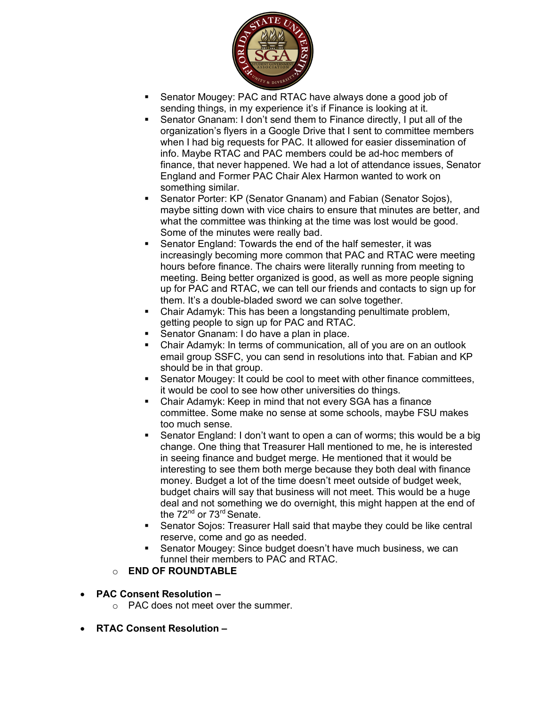

- Senator Mougey: PAC and RTAC have always done a good job of sending things, in my experience it's if Finance is looking at it.
- § Senator Gnanam: I don't send them to Finance directly, I put all of the organization's flyers in a Google Drive that I sent to committee members when I had big requests for PAC. It allowed for easier dissemination of info. Maybe RTAC and PAC members could be ad-hoc members of finance, that never happened. We had a lot of attendance issues, Senator England and Former PAC Chair Alex Harmon wanted to work on something similar.
- Senator Porter: KP (Senator Gnanam) and Fabian (Senator Sojos), maybe sitting down with vice chairs to ensure that minutes are better, and what the committee was thinking at the time was lost would be good. Some of the minutes were really bad.
- § Senator England: Towards the end of the half semester, it was increasingly becoming more common that PAC and RTAC were meeting hours before finance. The chairs were literally running from meeting to meeting. Being better organized is good, as well as more people signing up for PAC and RTAC, we can tell our friends and contacts to sign up for them. It's a double-bladed sword we can solve together.
- Chair Adamyk: This has been a longstanding penultimate problem, getting people to sign up for PAC and RTAC.
- Senator Gnanam: I do have a plan in place.
- Chair Adamyk: In terms of communication, all of you are on an outlook email group SSFC, you can send in resolutions into that. Fabian and KP should be in that group.
- § Senator Mougey: It could be cool to meet with other finance committees, it would be cool to see how other universities do things.
- § Chair Adamyk: Keep in mind that not every SGA has a finance committee. Some make no sense at some schools, maybe FSU makes too much sense.
- § Senator England: I don't want to open a can of worms; this would be a big change. One thing that Treasurer Hall mentioned to me, he is interested in seeing finance and budget merge. He mentioned that it would be interesting to see them both merge because they both deal with finance money. Budget a lot of the time doesn't meet outside of budget week, budget chairs will say that business will not meet. This would be a huge deal and not something we do overnight, this might happen at the end of the 72<sup>nd</sup> or 73<sup>rd</sup> Senate.
- § Senator Sojos: Treasurer Hall said that maybe they could be like central reserve, come and go as needed.
- § Senator Mougey: Since budget doesn't have much business, we can funnel their members to PAC and RTAC.
- o **END OF ROUNDTABLE**
- **PAC Consent Resolution –**
	- $\circ$  PAC does not meet over the summer.
- **RTAC Consent Resolution –**